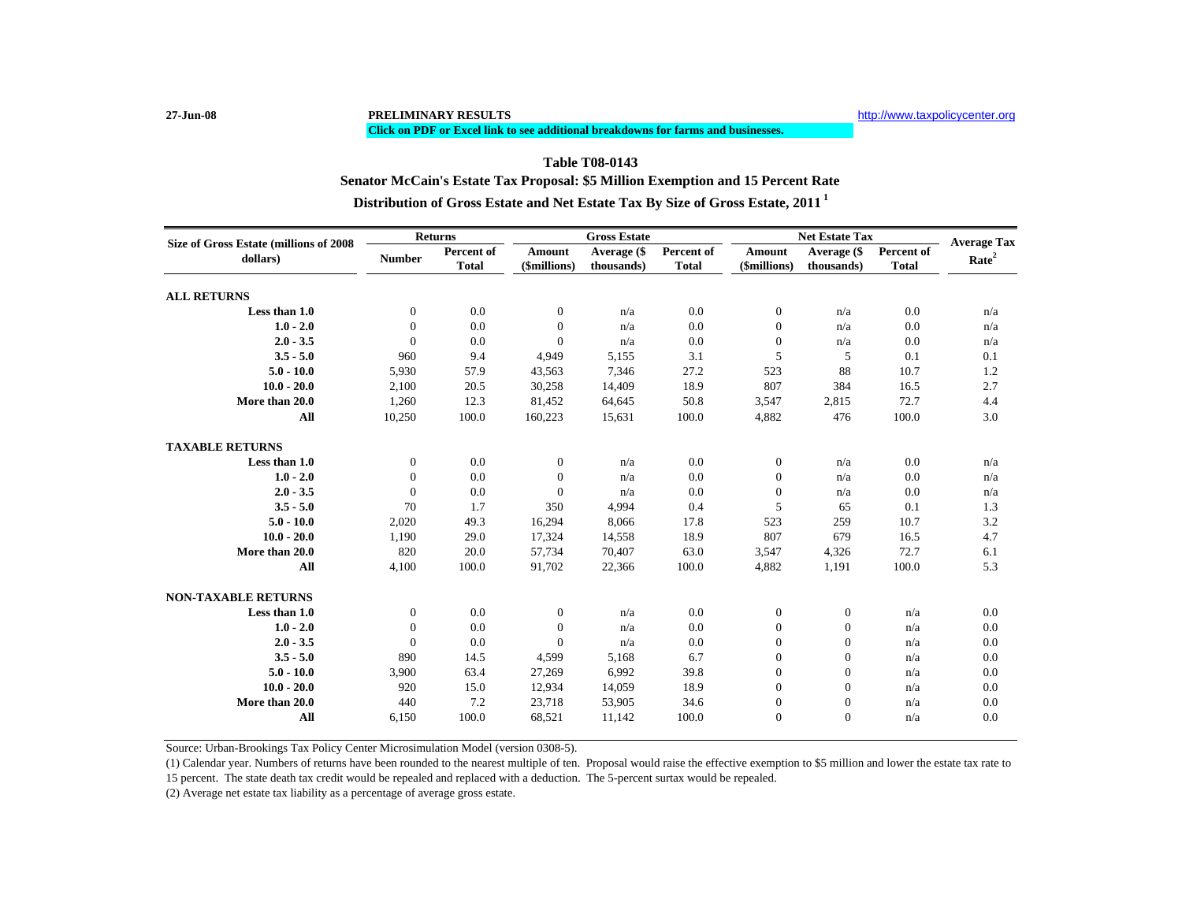### **27-Jun-08 PRELIMINARY RESULTS**

#### **Click on PDF or Excel link to see additional breakdowns for farms and businesses.**

## **Distribution of Gross Estate and Net Estate Tax By Size of Gross Estate, 2011 <sup>1</sup> Senator McCain's Estate Tax Proposal: \$5 Million Exemption and 15 Percent Rate Table T08-0143**

| Size of Gross Estate (millions of 2008<br>dollars) | <b>Returns</b>   |              | <b>Gross Estate</b> |             |              | <b>Net Estate Tax</b> |                  |              | <b>Average Tax</b> |
|----------------------------------------------------|------------------|--------------|---------------------|-------------|--------------|-----------------------|------------------|--------------|--------------------|
|                                                    | <b>Number</b>    | Percent of   | Amount              | Average (\$ | Percent of   | Amount                | Average (\$      | Percent of   | Rate <sup>2</sup>  |
|                                                    |                  | <b>Total</b> | (\$millions)        | thousands)  | <b>Total</b> | (\$millions)          | thousands)       | <b>Total</b> |                    |
| <b>ALL RETURNS</b>                                 |                  |              |                     |             |              |                       |                  |              |                    |
| Less than 1.0                                      | $\mathbf{0}$     | 0.0          | $\overline{0}$      | n/a         | 0.0          | $\mathbf{0}$          | n/a              | 0.0          | n/a                |
| $1.0 - 2.0$                                        | $\mathbf{0}$     | 0.0          | $\Omega$            | n/a         | 0.0          | $\boldsymbol{0}$      | n/a              | 0.0          | n/a                |
| $2.0 - 3.5$                                        | $\Omega$         | 0.0          | $\Omega$            | n/a         | 0.0          | $\overline{0}$        | n/a              | 0.0          | n/a                |
| $3.5 - 5.0$                                        | 960              | 9.4          | 4,949               | 5,155       | 3.1          | 5                     | 5                | 0.1          | 0.1                |
| $5.0 - 10.0$                                       | 5,930            | 57.9         | 43,563              | 7,346       | 27.2         | 523                   | 88               | 10.7         | 1.2                |
| $10.0 - 20.0$                                      | 2,100            | 20.5         | 30,258              | 14,409      | 18.9         | 807                   | 384              | 16.5         | 2.7                |
| More than 20.0                                     | 1,260            | 12.3         | 81,452              | 64,645      | 50.8         | 3,547                 | 2,815            | 72.7         | 4.4                |
| All                                                | 10,250           | 100.0        | 160,223             | 15,631      | 100.0        | 4,882                 | 476              | 100.0        | 3.0                |
| <b>TAXABLE RETURNS</b>                             |                  |              |                     |             |              |                       |                  |              |                    |
| Less than 1.0                                      | $\overline{0}$   | 0.0          | $\overline{0}$      | n/a         | 0.0          | $\mathbf{0}$          | n/a              | 0.0          | n/a                |
| $1.0 - 2.0$                                        | $\Omega$         | 0.0          | $\Omega$            | n/a         | 0.0          | $\overline{0}$        | n/a              | 0.0          | n/a                |
| $2.0 - 3.5$                                        | $\mathbf{0}$     | 0.0          | $\Omega$            | n/a         | 0.0          | $\theta$              | n/a              | 0.0          | n/a                |
| $3.5 - 5.0$                                        | 70               | 1.7          | 350                 | 4,994       | 0.4          | 5                     | 65               | 0.1          | 1.3                |
| $5.0 - 10.0$                                       | 2,020            | 49.3         | 16,294              | 8,066       | 17.8         | 523                   | 259              | 10.7         | 3.2                |
| $10.0 - 20.0$                                      | 1,190            | 29.0         | 17,324              | 14,558      | 18.9         | 807                   | 679              | 16.5         | 4.7                |
| More than 20.0                                     | 820              | 20.0         | 57,734              | 70,407      | 63.0         | 3,547                 | 4,326            | 72.7         | 6.1                |
| All                                                | 4,100            | 100.0        | 91,702              | 22.366      | 100.0        | 4,882                 | 1,191            | 100.0        | 5.3                |
| <b>NON-TAXABLE RETURNS</b>                         |                  |              |                     |             |              |                       |                  |              |                    |
| Less than 1.0                                      | $\mathbf{0}$     | 0.0          | $\mathbf{0}$        | n/a         | 0.0          | $\boldsymbol{0}$      | $\boldsymbol{0}$ | n/a          | 0.0                |
| $1.0 - 2.0$                                        | $\boldsymbol{0}$ | 0.0          | $\theta$            | n/a         | 0.0          | $\boldsymbol{0}$      | $\boldsymbol{0}$ | n/a          | 0.0                |
| $2.0 - 3.5$                                        | $\mathbf{0}$     | 0.0          | $\Omega$            | n/a         | 0.0          | $\mathbf{0}$          | $\boldsymbol{0}$ | n/a          | 0.0                |
| $3.5 - 5.0$                                        | 890              | 14.5         | 4,599               | 5,168       | 6.7          | $\mathbf{0}$          | $\boldsymbol{0}$ | n/a          | 0.0                |
| $5.0 - 10.0$                                       | 3,900            | 63.4         | 27,269              | 6,992       | 39.8         | $\Omega$              | $\overline{0}$   | n/a          | 0.0                |
| $10.0 - 20.0$                                      | 920              | 15.0         | 12,934              | 14,059      | 18.9         | $\Omega$              | $\overline{0}$   | n/a          | 0.0                |
| More than 20.0                                     | 440              | 7.2          | 23,718              | 53,905      | 34.6         | $\boldsymbol{0}$      | $\boldsymbol{0}$ | n/a          | 0.0                |
| All                                                | 6,150            | 100.0        | 68,521              | 11,142      | 100.0        | $\Omega$              | $\Omega$         | n/a          | 0.0                |

Source: Urban-Brookings Tax Policy Center Microsimulation Model (version 0308-5).

(1) Calendar year. Numbers of returns have been rounded to the nearest multiple of ten. Proposal would raise the effective exemption to \$5 million and lower the estate tax rate to

15 percent. The state death tax credit would be repealed and replaced with a deduction. The 5-percent surtax would be repealed.

(2) Average net estate tax liability as a percentage of average gross estate.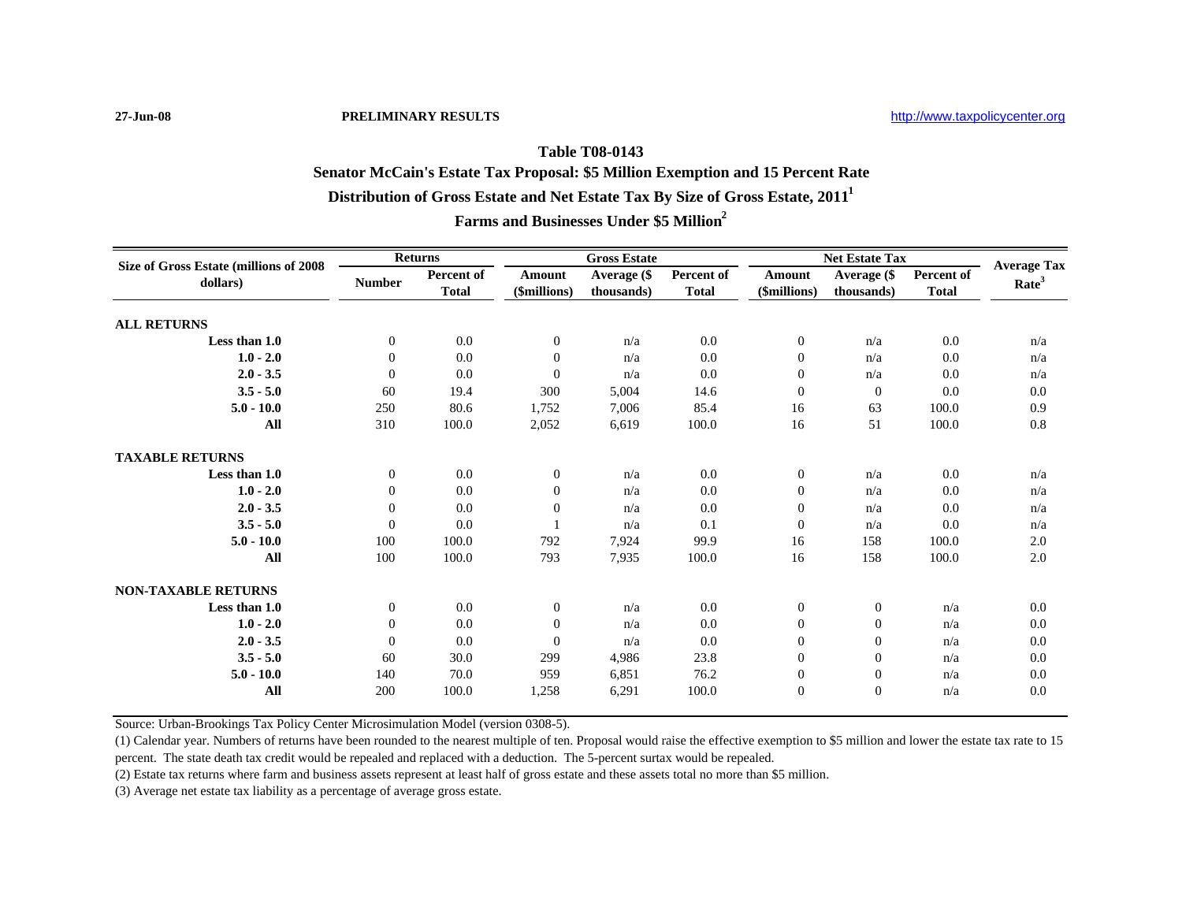**27-Jun-08 PRELIMINARY RESULTS**

# **Table T08-0143Distribution of Gross Estate and Net Estate Tax By Size of Gross Estate, 2011<sup>1</sup> Senator McCain's Estate Tax Proposal: \$5 Million Exemption and 15 Percent Rate Farms and Businesses Under \$5 Million2**

**ALL RETURNS Less than 1.0**0 0 0.0 0 n/a 0.0 0 n/a 0.0 n/a 0.0 n/a **1.0 - 2.0**0 0 0.0 0 n/a 0.0 0 n/a 0.0 n/a 0.0 n/a **2.0 - 3.5**5 0 0.0 0 n/a 0.0 0 n/a 0.0 n/a 0.0 n/a **3.5 - 5.00** 60 19.4 300 5,004 14.6 0 0 0.0 0.0 **5.0 - 10.0** 250 80.6 1,752 7,006 85.4 16 63 100.0 0.9 **All** 310 100.0 2,052 6,619 100.0 16 51 100.0 0.8 **TAXABLE RETURNSLess than 1.0**0 0 0.0 0  $n/a$  0.0 0  $n/a$  0.0  $n/a$  0.0  $n/a$ **1.0 - 2.0**0 0 0.0 0 n/a 0.0 0 n/a 0.0 n/a 0.0 n/a **2.0 - 3.5**5 0 0.0 0 n/a 0.0 0 n/a 0.0 n/a 0.0 n/a **3.5 - 5.00** 0.0 0.0 1 n/a 0.1 0 n/a 0.0 n/a **5.0 - 10.0** 100 100.0 792 7,924 99.9 16 158 100.0 2.0 **All** 100 100.0 793 7,935 100.0 16 158 100.0 2.0 **NON-TAXABLE RETURNSLess than 1.0**0 0 0.0 0  $n/a$  0.0 0 0  $n/a$  0.0 **1.0 - 2.0**0 0 0.0 0 n/a 0.0 0 0 n/a 0.0 **2.0 - 3.5**5 0 0.0 0 n/a 0.0 0 0 n/a 0.0 **3.5 - 5.00** 60 30.0 299 4,986 23.8 0 0 n/a 0.0 **5.0 - 10.00** 140 70.0 959 6,851 76.2 0 0 n/a 0.0 **All**1 200 100.0 1,258 6,291 100.0 0 0 n/a 0.0 **Net Estate TaxAmount (\$millions) Average (\$ thousands) Percent of Total Gross Estate Size of Gross Estate (millions of 2008 dollars) Amount (\$millions) Average (\$ thousands) Percent of Total Average Tax Rate3 Returns Percent of Total Number**

Source: Urban-Brookings Tax Policy Center Microsimulation Model (version 0308-5).

(1) Calendar year. Numbers of returns have been rounded to the nearest multiple of ten. Proposal would raise the effective exemption to \$5 million and lower the estate tax rate to 15 percent. The state death tax credit would be repealed and replaced with a deduction. The 5-percent surtax would be repealed.

(2) Estate tax returns where farm and business assets represent at least half of gross estate and these assets total no more than \$5 million.

(3) Average net estate tax liability as a percentage of average gross estate.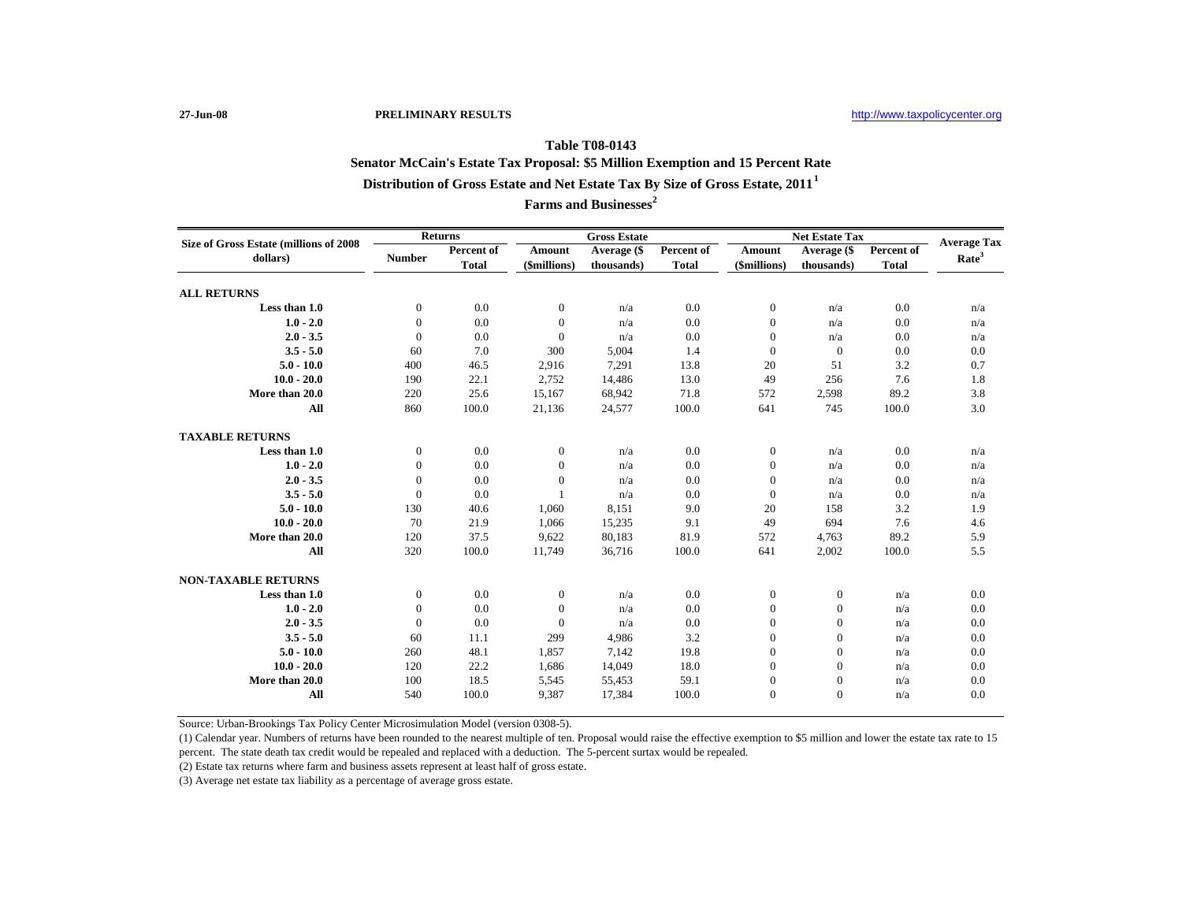## **Table T08-0143 Distribution of Gross Estate and Net Estate Tax By Size of Gross Estate, 2011<sup>1</sup> Senator McCain's Estate Tax Proposal: \$5 Million Exemption and 15 Percent Rate**

**Farms and Businesses<sup>2</sup>**

| Size of Gross Estate (millions of 2008<br>dollars) | <b>Returns</b> |                            | <b>Gross Estate</b>           |             |              | <b>Net Estate Tax</b>  |                           |                            |                                         |
|----------------------------------------------------|----------------|----------------------------|-------------------------------|-------------|--------------|------------------------|---------------------------|----------------------------|-----------------------------------------|
|                                                    | <b>Number</b>  | Percent of<br><b>Total</b> | <b>Amount</b><br>(\$millions) | Average (\$ | Percent of   | Amount<br>(\$millions) | Average (\$<br>thousands) | Percent of<br><b>Total</b> | <b>Average Tax</b><br>Rate <sup>3</sup> |
|                                                    |                |                            |                               | thousands)  | <b>Total</b> |                        |                           |                            |                                         |
| <b>ALL RETURNS</b>                                 |                |                            |                               |             |              |                        |                           |                            |                                         |
| Less than 1.0                                      | $\mathbf{0}$   | 0.0                        | $\mathbf{0}$                  | n/a         | 0.0          | $\boldsymbol{0}$       | n/a                       | 0.0                        | n/a                                     |
| $1.0 - 2.0$                                        | $\mathbf{0}$   | 0.0                        | $\mathbf{0}$                  | n/a         | 0.0          | $\overline{0}$         | n/a                       | 0.0                        | n/a                                     |
| $2.0 - 3.5$                                        | $\Omega$       | 0.0                        | $\mathbf{0}$                  | n/a         | 0.0          | $\overline{0}$         | n/a                       | 0.0                        | n/a                                     |
| $3.5 - 5.0$                                        | 60             | 7.0                        | 300                           | 5,004       | 1.4          | $\Omega$               | $\overline{0}$            | 0.0                        | 0.0                                     |
| $5.0 - 10.0$                                       | 400            | 46.5                       | 2,916                         | 7,291       | 13.8         | 20                     | 51                        | 3.2                        | 0.7                                     |
| $10.0 - 20.0$                                      | 190            | 22.1                       | 2,752                         | 14,486      | 13.0         | 49                     | 256                       | 7.6                        | 1.8                                     |
| More than 20.0                                     | 220            | 25.6                       | 15,167                        | 68,942      | 71.8         | 572                    | 2,598                     | 89.2                       | 3.8                                     |
| All                                                | 860            | 100.0                      | 21,136                        | 24,577      | 100.0        | 641                    | 745                       | 100.0                      | 3.0                                     |
| <b>TAXABLE RETURNS</b>                             |                |                            |                               |             |              |                        |                           |                            |                                         |
| Less than 1.0                                      | $\mathbf{0}$   | 0.0                        | $\mathbf{0}$                  | n/a         | 0.0          | $\mathbf{0}$           | n/a                       | 0.0                        | n/a                                     |
| $1.0 - 2.0$                                        | $\mathbf{0}$   | 0.0                        | $\Omega$                      | n/a         | 0.0          | $\overline{0}$         | n/a                       | 0.0                        | n/a                                     |
| $2.0 - 3.5$                                        | $\mathbf{0}$   | 0.0                        | $\Omega$                      | n/a         | 0.0          | $\overline{0}$         | n/a                       | 0.0                        | n/a                                     |
| $3.5 - 5.0$                                        | $\mathbf{0}$   | 0.0                        | -1                            | n/a         | 0.0          | $\mathbf{0}$           | n/a                       | 0.0                        | n/a                                     |
| $5.0 - 10.0$                                       | 130            | 40.6                       | 1,060                         | 8,151       | 9.0          | 20                     | 158                       | 3.2                        | 1.9                                     |
| $10.0 - 20.0$                                      | 70             | 21.9                       | 1,066                         | 15,235      | 9.1          | 49                     | 694                       | 7.6                        | 4.6                                     |
| More than 20.0                                     | 120            | 37.5                       | 9,622                         | 80,183      | 81.9         | 572                    | 4,763                     | 89.2                       | 5.9                                     |
| All                                                | 320            | 100.0                      | 11,749                        | 36.716      | 100.0        | 641                    | 2,002                     | 100.0                      | 5.5                                     |
| <b>NON-TAXABLE RETURNS</b>                         |                |                            |                               |             |              |                        |                           |                            |                                         |
| Less than 1.0                                      | $\mathbf{0}$   | 0.0                        | $\mathbf{0}$                  | n/a         | 0.0          | $\mathbf{0}$           | $\overline{0}$            | n/a                        | 0.0                                     |
| $1.0 - 2.0$                                        | $\mathbf{0}$   | 0.0                        | $\mathbf{0}$                  | n/a         | 0.0          | $\overline{0}$         | $\boldsymbol{0}$          | n/a                        | 0.0                                     |
| $2.0 - 3.5$                                        | $\overline{0}$ | 0.0                        | $\mathbf{0}$                  | n/a         | 0.0          | $\boldsymbol{0}$       | $\mathbf{0}$              | n/a                        | 0.0                                     |
| $3.5 - 5.0$                                        | 60             | 11.1                       | 299                           | 4,986       | 3.2          | $\Omega$               | $\Omega$                  | n/a                        | 0.0                                     |
| $5.0 - 10.0$                                       | 260            | 48.1                       | 1,857                         | 7,142       | 19.8         | $\mathbf{0}$           | $\mathbf{0}$              | n/a                        | 0.0                                     |
| $10.0 - 20.0$                                      | 120            | 22.2                       | 1,686                         | 14,049      | 18.0         | $\mathbf{0}$           | $\mathbf{0}$              | n/a                        | 0.0                                     |
| More than 20.0                                     | 100            | 18.5                       | 5,545                         | 55,453      | 59.1         | $\boldsymbol{0}$       | $\boldsymbol{0}$          | n/a                        | 0.0                                     |
| All                                                | 540            | 100.0                      | 9,387                         | 17,384      | 100.0        | $\mathbf{0}$           | $\mathbf{0}$              | n/a                        | 0.0                                     |

Source: Urban-Brookings Tax Policy Center Microsimulation Model (version 0308-5).

(1) Calendar year. Numbers of returns have been rounded to the nearest multiple of ten. Proposal would raise the effective exemption to \$5 million and lower the estate tax rate to 15 percent. The state death tax credit would be repealed and replaced with a deduction. The 5-percent surtax would be repealed.

(2) Estate tax returns where farm and business assets represent at least half of gross estate.

(3) Average net estate tax liability as a percentage of average gross estate.